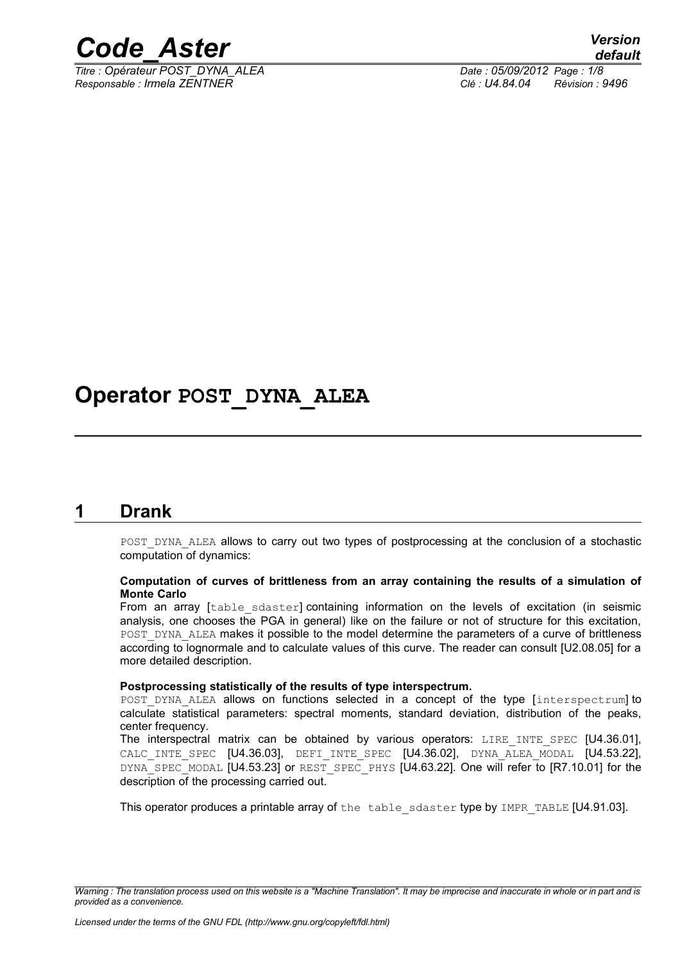

*Titre : Opérateur POST\_DYNA\_ALEA Date : 05/09/2012 Page : 1/8 Responsable : Irmela ZENTNER Clé : U4.84.04 Révision : 9496*

## **Operator POST\_DYNA\_ALEA**

### **1 Drank**

POST\_DYNA\_ALEA allows to carry out two types of postprocessing at the conclusion of a stochastic computation of dynamics:

#### **Computation of curves of brittleness from an array containing the results of a simulation of Monte Carlo**

From an array [table sdaster] containing information on the levels of excitation (in seismic analysis, one chooses the PGA in general) like on the failure or not of structure for this excitation, POST\_DYNA\_ALEA makes it possible to the model determine the parameters of a curve of brittleness according to lognormale and to calculate values of this curve. The reader can consult [U2.08.05] for a more detailed description.

#### **Postprocessing statistically of the results of type interspectrum.**

POST DYNA ALEA allows on functions selected in a concept of the type [interspectrum] to calculate statistical parameters: spectral moments, standard deviation, distribution of the peaks, center frequency.

The interspectral matrix can be obtained by various operators: LIRE INTE SPEC [U4.36.01], CALC INTE SPEC [U4.36.03], DEFI INTE SPEC [U4.36.02], DYNA ALEA MODAL [U4.53.22], DYNA SPEC MODAL [U4.53.23] or REST SPEC PHYS [U4.63.22]. One will refer to [R7.10.01] for the description of the processing carried out.

This operator produces a printable array of the table sdaster type by IMPR TABLE [U4.91.03].

*Warning : The translation process used on this website is a "Machine Translation". It may be imprecise and inaccurate in whole or in part and is provided as a convenience.*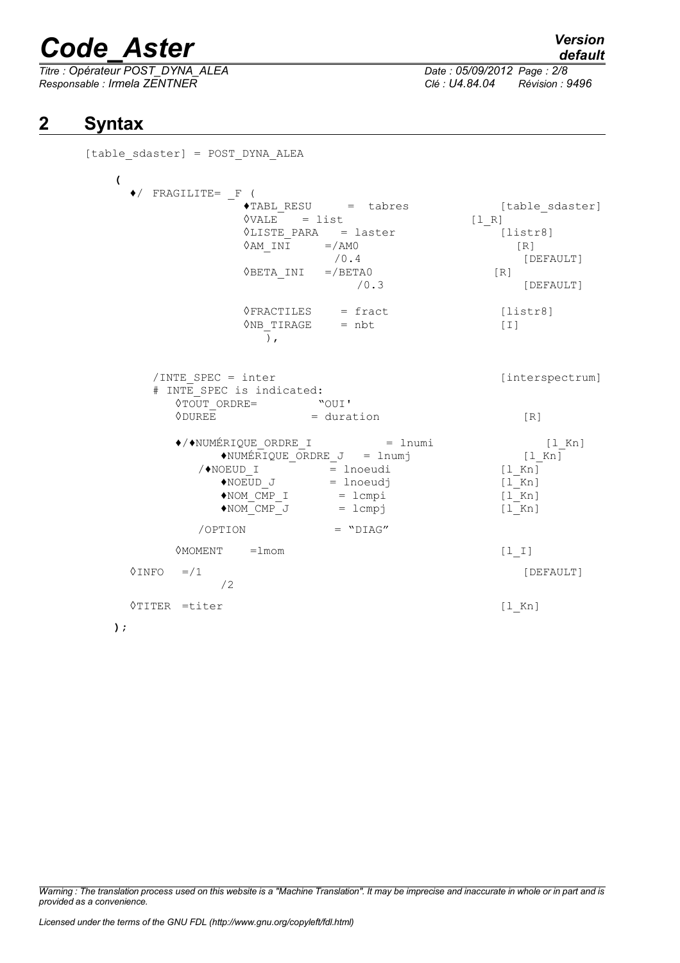*Titre : Opérateur POST\_DYNA\_ALEA Date : 05/09/2012 Page : 2/8 Responsable : Irmela ZENTNER Clé : U4.84.04 Révision : 9496*

*default*

## **2 Syntax**

| [table sdaster] = POST DYNA ALEA                                                                                                                                                                               |                                                                                                                                                                |                                                                                  |
|----------------------------------------------------------------------------------------------------------------------------------------------------------------------------------------------------------------|----------------------------------------------------------------------------------------------------------------------------------------------------------------|----------------------------------------------------------------------------------|
| $\overline{\mathcal{L}}$<br>$\blacklozenge$ FRAGILITE= F (                                                                                                                                                     | $\sqrt{TABL}$ RESU = tabres<br>$\Diamond \text{VALE}$ = list<br>VLISTE PARA = laster<br>$\Diamond AM$ INI =/AMO<br>/0.4<br>$\Diamond$ BETA INI =/BETAO<br>/0.3 | [table sdaster]<br>$[1 R]$<br>[liststr8]<br>[R]<br>[DEFAULT]<br>[R]<br>[DEFAULT] |
|                                                                                                                                                                                                                | $\Diamond$ FRACTILES = fract<br>$\Diamond$ NB TIRAGE = nbt<br>$\rightarrow$                                                                                    | [liststr8]<br>$\lceil 1 \rceil$                                                  |
| /INTE SPEC = inter<br><b>ODUREE</b>                                                                                                                                                                            | # INTE SPEC is indicated:<br>= duration                                                                                                                        | [interspectrum]<br>[R]                                                           |
| $\blacklozenge/\blacklozenge$ NUMÉRIQUE ORDRE_I = lnumi<br>$\triangle$ NUMÉRIQUE_ORDRE_J = lnumj<br>$\sqrt{NOEUD_1}$ = lnoeudi<br>$\blacklozenge {\tt NOEUD\_J}$<br>$NOM_CMP_I$ = lcmpi<br>$NOM_CMP_J = lcmpj$ | $[1$ Kn]<br>$[1$ Kn]<br>$[1$ Kn]<br>$[1$ Kn]<br>$[1$ Kn]<br>$[1$ Kn]                                                                                           |                                                                                  |
|                                                                                                                                                                                                                | $=$ "DIAG"<br>/OPTION                                                                                                                                          |                                                                                  |
| $\Diamond$ MOMENT = $1$ mom                                                                                                                                                                                    |                                                                                                                                                                | $[1  I]$                                                                         |
| $\sqrt{INFO}$ =/1<br>/2                                                                                                                                                                                        |                                                                                                                                                                | [DEFAULT]                                                                        |
| $\lor$ TITER =titer                                                                                                                                                                                            |                                                                                                                                                                | $[1$ Kn]                                                                         |
| );                                                                                                                                                                                                             |                                                                                                                                                                |                                                                                  |

*Warning : The translation process used on this website is a "Machine Translation". It may be imprecise and inaccurate in whole or in part and is provided as a convenience.*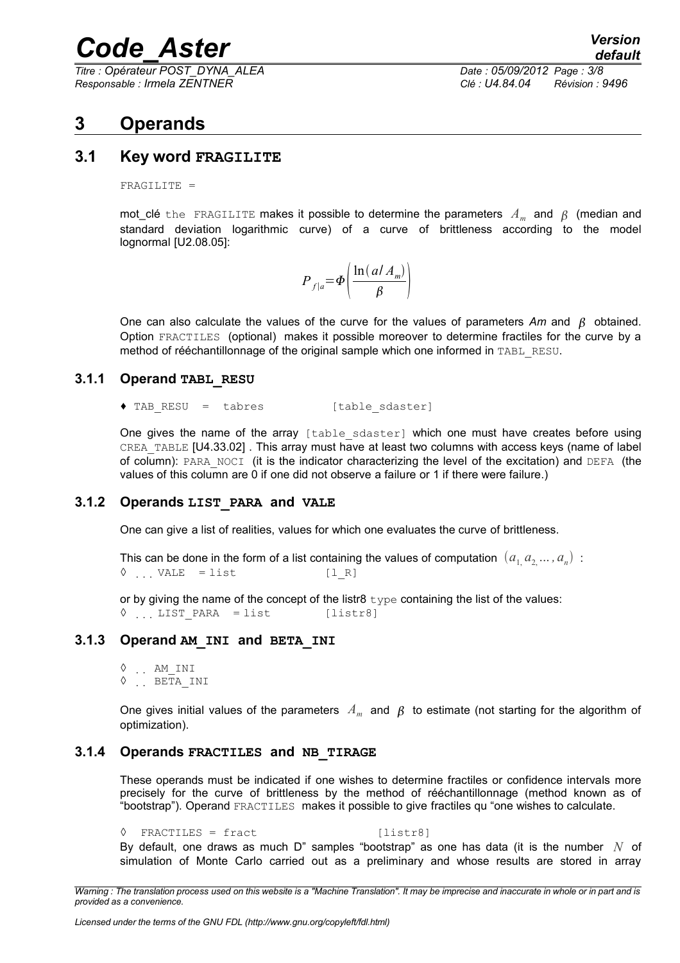*Titre : Opérateur POST\_DYNA\_ALEA Date : 05/09/2012 Page : 3/8 Responsable : Irmela ZENTNER Clé : U4.84.04 Révision : 9496*

## **3 Operands**

#### **3.1 Key word FRAGILITE**

FRAGILITE =

mot\_clé  $\tt the$  FRAGILITE makes it possible to determine the parameters  $\,A_{m}\,$  and  $\,\beta\,$  (median and standard deviation logarithmic curve) of a curve of brittleness according to the model lognormal [U2.08.05]:

| $=$ | $ln(dA_m)$ |  |
|-----|------------|--|
|     |            |  |

One can also calculate the values of the curve for the values of parameters  $Am$  and  $\beta$  obtained. Option FRACTILES (optional) makes it possible moreover to determine fractiles for the curve by a method of rééchantillonnage of the original sample which one informed in TABL\_RESU.

#### **3.1.1 Operand TABL\_RESU**

♦ TAB\_RESU = tabres [table\_sdaster]

One gives the name of the array [table sdaster] which one must have creates before using CREA\_TABLE [U4.33.02] . This array must have at least two columns with access keys (name of label of column): PARA\_NOCI (it is the indicator characterizing the level of the excitation) and DEFA (the values of this column are 0 if one did not observe a failure or 1 if there were failure.)

#### **3.1.2 Operands LIST\_PARA and VALE**

One can give a list of realities, values for which one evaluates the curve of brittleness.

```
This can be done in the form of a list containing the values of computation \; (a^{}_{1\!,} a^{}_{2\!,}... , a^{}_{n}) \; :
\Diamond ... VALE = list [l R]
```
or by giving the name of the concept of the listr8  $type$  containing the list of the values:  $\sqrt[6]{ }$  ... LIST PARA = list [listr8]

#### **3.1.3 Operand AM\_INI and BETA\_INI**

◊ AM\_INI  $\lozenge$  . BETA INI

One gives initial values of the parameters  $A_m$  and  $\beta$  to estimate (not starting for the algorithm of optimization).

#### **3.1.4 Operands FRACTILES and NB\_TIRAGE**

These operands must be indicated if one wishes to determine fractiles or confidence intervals more precisely for the curve of brittleness by the method of rééchantillonnage (method known as of "bootstrap"). Operand FRACTILES makes it possible to give fractiles qu "one wishes to calculate.

 $\Diamond$  FRACTILES = fract [listr8] By default, one draws as much D" samples "bootstrap" as one has data (it is the number *N* of simulation of Monte Carlo carried out as a preliminary and whose results are stored in array

*Warning : The translation process used on this website is a "Machine Translation". It may be imprecise and inaccurate in whole or in part and is provided as a convenience.*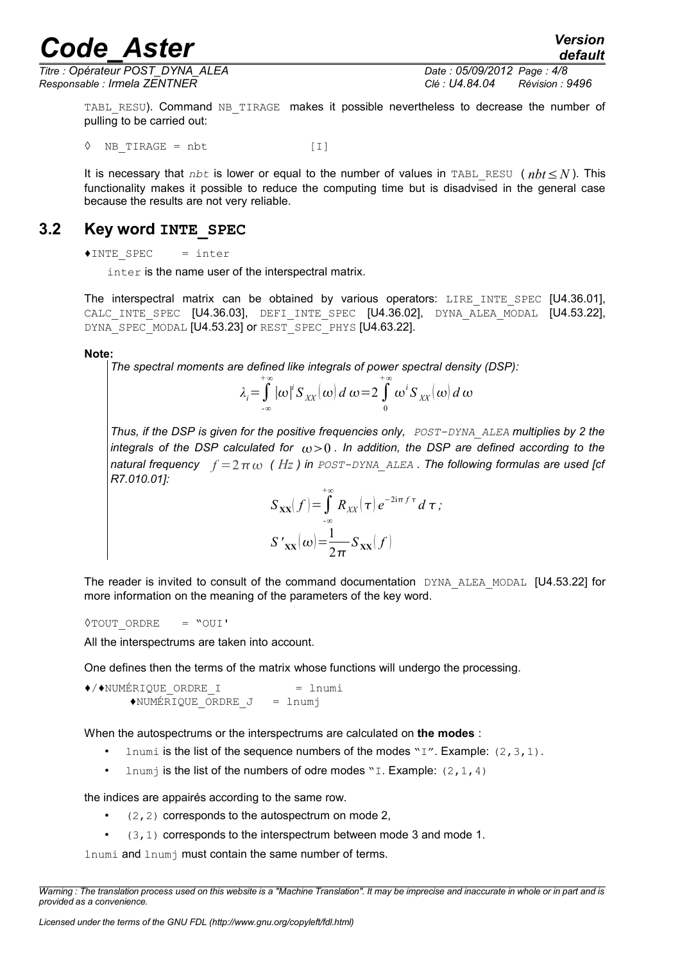*Titre : Opérateur POST\_DYNA\_ALEA Date : 05/09/2012 Page : 4/8 Responsable : Irmela ZENTNER Clé : U4.84.04 Révision : 9496*

*default*

TABL RESU). Command NB TIRAGE makes it possible nevertheless to decrease the number of pulling to be carried out:

 $\Diamond$  NB TIRAGE = nbt [I]

It is necessary that *nbt* is lower or equal to the number of values in TABL\_RESU ( *nbt*≤*N* ). This functionality makes it possible to reduce the computing time but is disadvised in the general case because the results are not very reliable.

### **3.2 Key word INTE\_SPEC**

♦INTE\_SPEC = inter

inter is the name user of the interspectral matrix.

The interspectral matrix can be obtained by various operators: LIRE INTE SPEC [U4.36.01], CALC INTE SPEC [U4.36.03], DEFI INTE SPEC [U4.36.02], DYNA ALEA MODAL [U4.53.22], DYNA SPEC MODAL [U4.53.23] or REST SPEC PHYS [U4.63.22].

#### **Note:**

*The spectral moments are defined like integrals of power spectral density (DSP):*

$$
\lambda_i = \int_{-\infty}^{+\infty} |\omega|^i S_{XX}(\omega) d\omega = 2 \int_{0}^{+\infty} \omega^i S_{XX}(\omega) d\omega
$$

*Thus, if the DSP is given for the positive frequencies only, POST-DYNA\_ALEA multiplies by 2 the integrals of the DSP calculated for*  $\omega > 0$ . In addition, the DSP are defined according to the *natural frequency*  $f = 2 \pi \omega$  (*Hz*) in *POST-DYNA* ALEA *. The following formulas are used [cf R7.010.01]:*

$$
S_{xx}(f) = \int_{-\infty}^{+\infty} R_{xx}(\tau) e^{-2i\pi f \tau} d\tau;
$$

$$
S'_{xx}(\omega) = \frac{1}{2\pi} S_{xx}(f)
$$

The reader is invited to consult of the command documentation DYNA ALEA MODAL [U4.53.22] for more information on the meaning of the parameters of the key word.

$$
\lozenge\neg\neg\text{UUT}\quad\text{ORDER}\qquad\equiv\text{``OUT'}
$$

All the interspectrums are taken into account.

One defines then the terms of the matrix whose functions will undergo the processing.

 $\leftrightarrow$ / $\leftrightarrow$ NUMÉRIQUE ORDRE I = lnumi  $\triangle$ NUMÉRIQUE ORDRE J = lnumj

When the autospectrums or the interspectrums are calculated on **the modes** :

- Inumi is the list of the sequence numbers of the modes "I". Example: (2, 3, 1).
- Inum is the list of the numbers of odre modes "I. Example:  $(2, 1, 4)$

the indices are appairés according to the same row.

- $(2, 2)$  corresponds to the autospectrum on mode 2,
- (3,1) corresponds to the interspectrum between mode 3 and mode 1.

lnumi and lnumj must contain the same number of terms.

*Warning : The translation process used on this website is a "Machine Translation". It may be imprecise and inaccurate in whole or in part and is provided as a convenience.*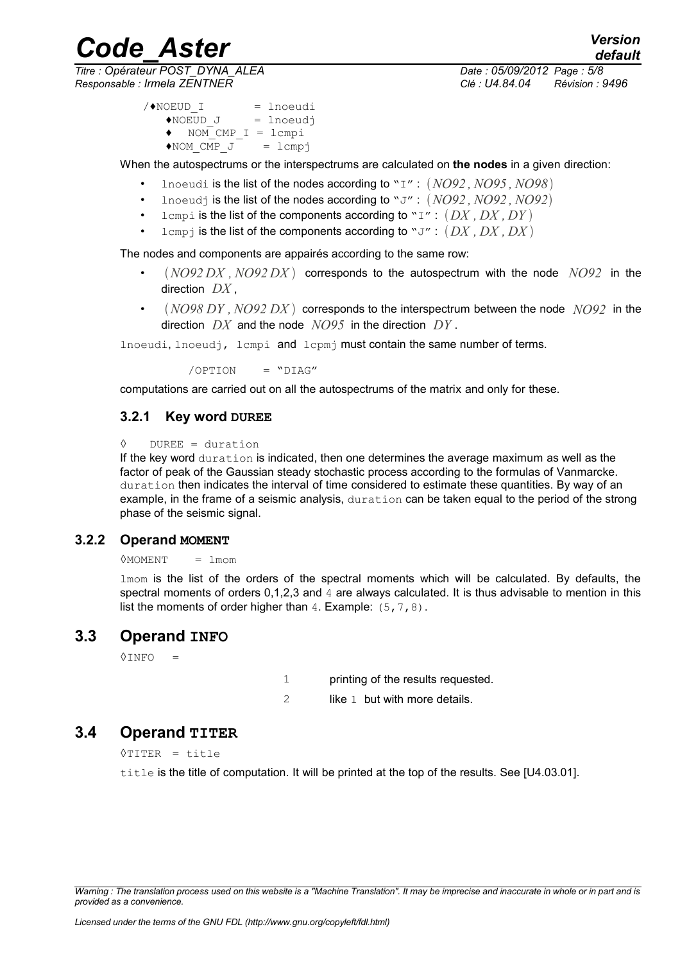*Code\_Aster Version Titre : Opérateur POST\_DYNA\_ALEA Date : 05/09/2012 Page : 5/8 Responsable : Irmela ZENTNER Clé : U4.84.04 Révision : 9496*

*default*

```
/NOEUD I = lnoeudi
   \triangleNOEUD J = lnoeudj
   \bullet NOM CMP I = lcmpi
   \triangleNOM CMP J = lcmpj
```
When the autospectrums or the interspectrums are calculated on **the nodes** in a given direction:

- lnoeudi is the list of the nodes according to "I" : *NO92 , NO95 , NO98*
- lnoeudj is the list of the nodes according to "J" : *NO92 , NO92 , NO92*
- lcmpi is the list of the components according to " $I''$ :  $(DX, DX, DY)$
- lcmpj is the list of the components according to " $J''$  :  $(DX, DX, DX)$

The nodes and components are appairés according to the same row:

- $(NO92 DX, NO92 DX)$  corresponds to the autospectrum with the node  $NO92$  in the direction *DX* ,
- *NO98 DY , NO92 DX* corresponds to the interspectrum between the node *NO92* in the direction *DX* and the node *NO95* in the direction *DY* .

lnoeudi, lnoeudj, lcmpi and lcpmj must contain the same number of terms.

 $\sqrt{OPTION}$  = " $DIAG''$ 

computations are carried out on all the autospectrums of the matrix and only for these.

#### **3.2.1 Key word DUREE**

```
◊ DUREE = duration
```
If the key word duration is indicated, then one determines the average maximum as well as the factor of peak of the Gaussian steady stochastic process according to the formulas of Vanmarcke. duration then indicates the interval of time considered to estimate these quantities. By way of an example, in the frame of a seismic analysis, duration can be taken equal to the period of the strong phase of the seismic signal.

#### **3.2.2 Operand MOMENT**

 $<sup>0</sup>$ MOMENT = lmom</sup>

lmom is the list of the orders of the spectral moments which will be calculated. By defaults, the spectral moments of orders 0,1,2,3 and 4 are always calculated. It is thus advisable to mention in this list the moments of order higher than  $4.$  Example:  $(5, 7, 8)$ .

#### **3.3 Operand INFO**

 $\Diamond$ INFO =

1 printing of the results requested.

2 like 1 but with more details.

#### **3.4 Operand TITER**

◊TITER = title

title is the title of computation. It will be printed at the top of the results. See [U4.03.01].

*Warning : The translation process used on this website is a "Machine Translation". It may be imprecise and inaccurate in whole or in part and is provided as a convenience.*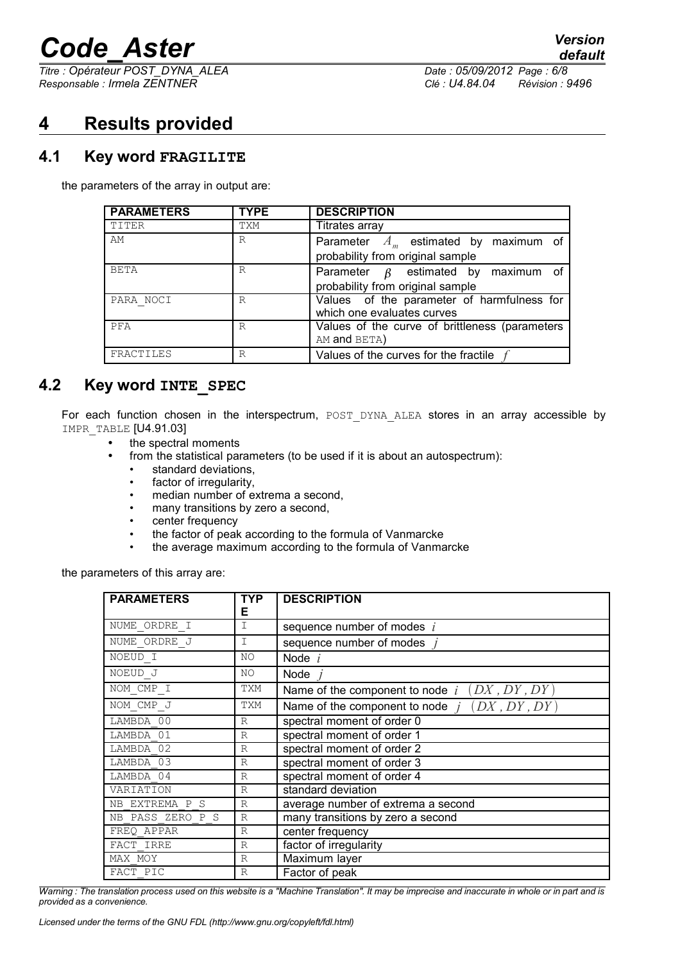*Titre : Opérateur POST\_DYNA\_ALEA Date : 05/09/2012 Page : 6/8 Responsable : Irmela ZENTNER Clé : U4.84.04 Révision : 9496*

## **4 Results provided**

#### **4.1 Key word FRAGILITE**

the parameters of the array in output are:

| <b>PARAMETERS</b> | <b>TYPE</b> | <b>DESCRIPTION</b>                             |
|-------------------|-------------|------------------------------------------------|
| TITER             | TXM         | Titrates array                                 |
| AM                | R           | Parameter $A_m$ estimated by maximum of        |
|                   |             | probability from original sample               |
| <b>BETA</b>       | R           | Parameter $\beta$ estimated by maximum of      |
|                   |             | probability from original sample               |
| PARA NOCI         | R           | Values of the parameter of harmfulness for     |
|                   |             | which one evaluates curves                     |
| PFA               | R           | Values of the curve of brittleness (parameters |
|                   |             | AM and BETA)                                   |
| FRACTILES         | R           | Values of the curves for the fractile          |

### **4.2 Key word INTE\_SPEC**

For each function chosen in the interspectrum, POST DYNA ALEA stores in an array accessible by IMPR TABLE [U4.91.03]

- the spectral moments
- from the statistical parameters (to be used if it is about an autospectrum):
	- standard deviations,
	- factor of irregularity,
	- median number of extrema a second,
	- many transitions by zero a second,
	- center frequency
	- the factor of peak according to the formula of Vanmarcke
	- the average maximum according to the formula of Vanmarcke

the parameters of this array are:

| <b>PARAMETERS</b> | <b>TYP</b><br>Е | <b>DESCRIPTION</b>                                |
|-------------------|-----------------|---------------------------------------------------|
| NUME ORDRE I      | I               | sequence number of modes $i$                      |
| NUME ORDRE J      | Ι               | sequence number of modes                          |
| NOEUD I           | NO.             | Node $i$                                          |
| NOEUD J           | NO.             | Node                                              |
| NOM CMP I         | TXM             | (DX, DY, DY)<br>Name of the component to node $i$ |
| NOM CMP J         | TXM             | Name of the component to node $j$ $(DX, DY, DY)$  |
| LAMBDA 00         | $\mathbb{R}$    | spectral moment of order 0                        |
| LAMBDA 01         | $\mathbb{R}$    | spectral moment of order 1                        |
| LAMBDA 02         | $\mathbb{R}$    | spectral moment of order 2                        |
| LAMBDA 03         | $\mathbb{R}$    | spectral moment of order 3                        |
| LAMBDA 04         | $\mathbb{R}$    | spectral moment of order 4                        |
| VARIATION         | $\mathbb{R}$    | standard deviation                                |
| NB EXTREMA P S    | $\mathbb{R}$    | average number of extrema a second                |
| NB PASS ZERO P S  | $\mathbb{R}$    | many transitions by zero a second                 |
| FREO APPAR        | $\mathbb{R}$    | center frequency                                  |
| FACT IRRE         | $\mathbb{R}$    | factor of irregularity                            |
| MAX MOY           | $\mathbb{R}$    | Maximum layer                                     |
| FACT PIC          | $\mathbb{R}$    | Factor of peak                                    |

*Warning : The translation process used on this website is a "Machine Translation". It may be imprecise and inaccurate in whole or in part and is provided as a convenience.*

*Licensed under the terms of the GNU FDL (http://www.gnu.org/copyleft/fdl.html)*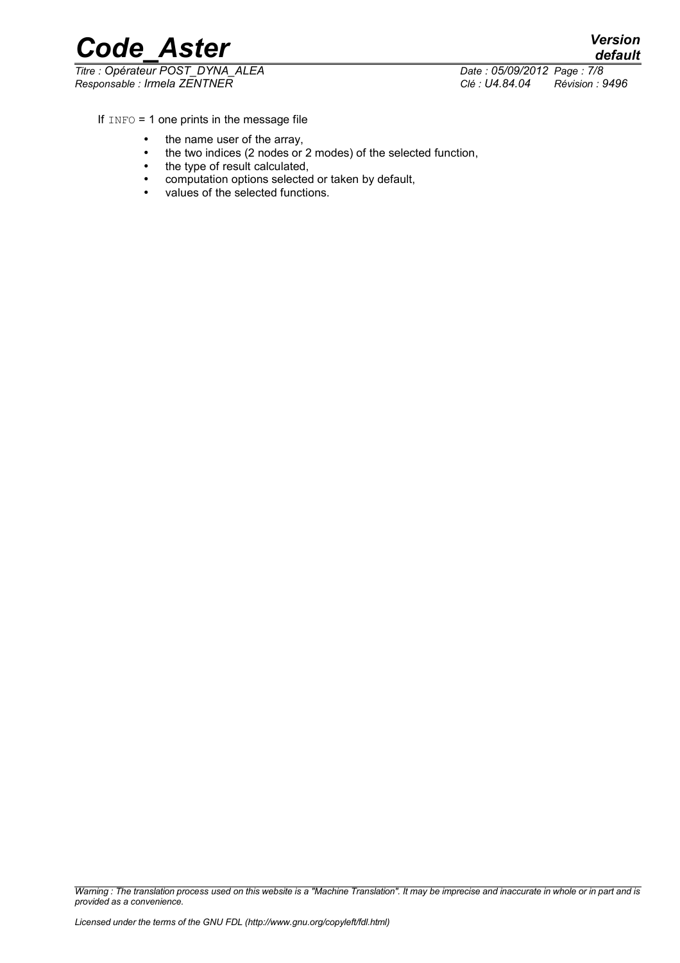*default*

*Code\_Aster Version*  $\overline{T}$ itre : Opérateur POST\_DYNA\_ALEA *Responsable : Irmela ZENTNER Clé : U4.84.04 Révision : 9496*

If  $INFO = 1$  one prints in the message file

- the name user of the array,
- the two indices (2 nodes or 2 modes) of the selected function,
- the type of result calculated,
- computation options selected or taken by default,
- values of the selected functions.

*Warning : The translation process used on this website is a "Machine Translation". It may be imprecise and inaccurate in whole or in part and is provided as a convenience.*